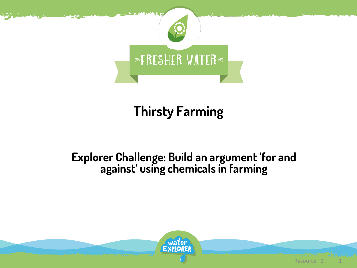

# **Thirsty Farming**

#### **Explorer Challenge: Build an argument 'for and against' using chemicals in farming**

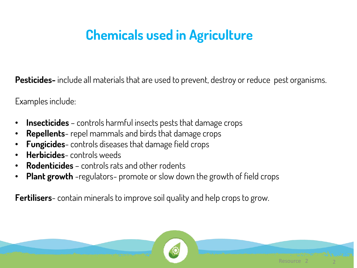## **Chemicals used in Agriculture**

**Pesticides-** include all materials that are used to prevent, destroy or reduce pest organisms.

Examples include:

- **Insecticides**  controls harmful insects pests that damage crops
- **Repellents** repel mammals and birds that damage crops
- **Fungicides** controls diseases that damage field crops
- **Herbicides** controls weeds
- **Rodenticides**  controls rats and other rodents
- **Plant growth** -regulators- promote or slow down the growth of field crops

**Fertilisers**- contain minerals to improve soil quality and help crops to grow.

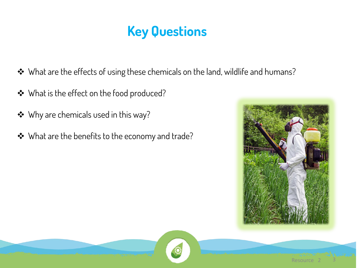## **Key Questions**

- ◆ What are the effects of using these chemicals on the land, wildlife and humans?
- ◆ What is the effect on the food produced?
- ◆ Why are chemicals used in this way?
- ◆ What are the benefits to the economy and trade?



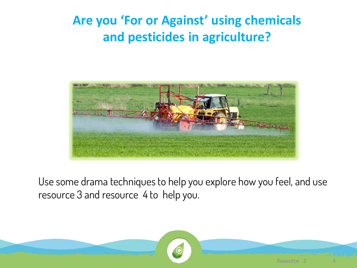#### **Are you 'For or Against' using chemicals and pesticides in agriculture?**



Use some drama techniques to help you explore how you feel, and use resource 3 and resource 4 to help you.

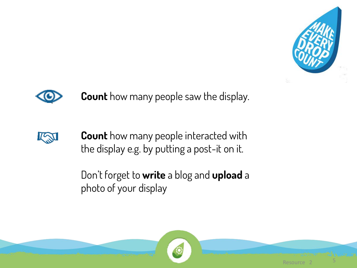

Resource



**Count** how many people saw the display.



**Count** how many people interacted with the display e.g. by putting a post-it on it.

Don't forget to **write** a blog and **upload** a photo of your display